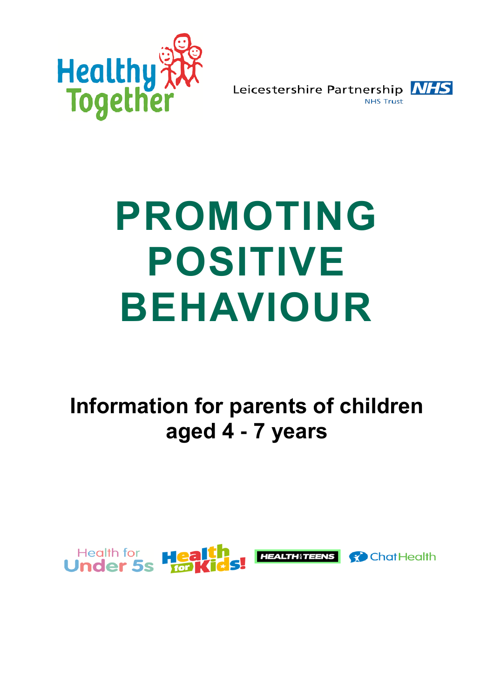

Leicestershire Partnership NHS

# **PROMOTING POSITIVE BEHAVIOUR**

**Information for parents of children aged 4 - 7 years**

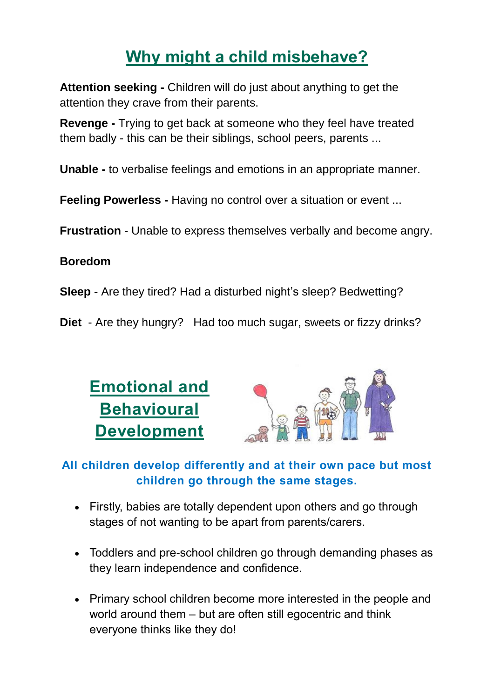# **Why might a child misbehave?**

**Attention seeking -** Children will do just about anything to get the attention they crave from their parents.

**Revenge -** Trying to get back at someone who they feel have treated them badly - this can be their siblings, school peers, parents ...

**Unable -** to verbalise feelings and emotions in an appropriate manner.

**Feeling Powerless -** Having no control over a situation or event ...

**Frustration -** Unable to express themselves verbally and become angry.

#### **Boredom**

**Sleep -** Are they tired? Had a disturbed night's sleep? Bedwetting?

**Diet** - Are they hungry? Had too much sugar, sweets or fizzy drinks?



#### **All children develop differently and at their own pace but most children go through the same stages.**

- Firstly, babies are totally dependent upon others and go through stages of not wanting to be apart from parents/carers.
- Toddlers and pre-school children go through demanding phases as they learn independence and confidence.
- Primary school children become more interested in the people and world around them – but are often still egocentric and think everyone thinks like they do!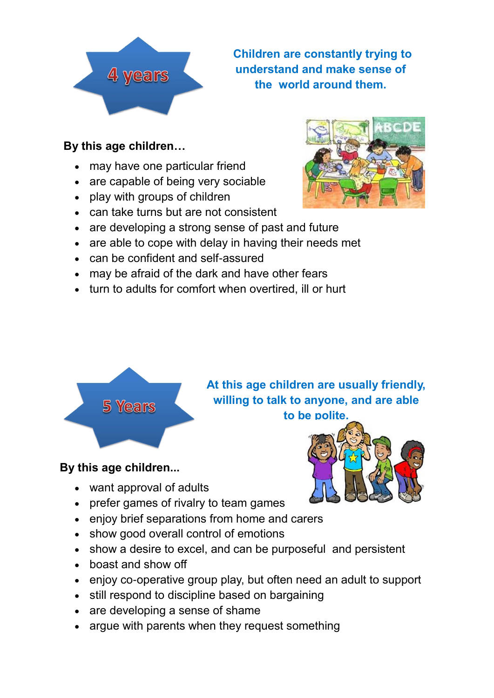

**Children are constantly trying to understand and make sense of the world around them.**

#### **By this age children…**

- may have one particular friend
- are capable of being very sociable
- play with groups of children
- can take turns but are not consistent
- are developing a strong sense of past and future
- are able to cope with delay in having their needs met
- can be confident and self-assured
- may be afraid of the dark and have other fears
- turn to adults for comfort when overtired, ill or hurt





**At this age children are usually friendly, willing to talk to anyone, and are able to be polite.**

#### **By this age children...**

- want approval of adults
- prefer games of rivalry to team games
- enjoy brief separations from home and carers
- show good overall control of emotions
- show a desire to excel, and can be purposeful and persistent
- boast and show off
- enjoy co-operative group play, but often need an adult to support
- still respond to discipline based on bargaining
- are developing a sense of shame
- argue with parents when they request something

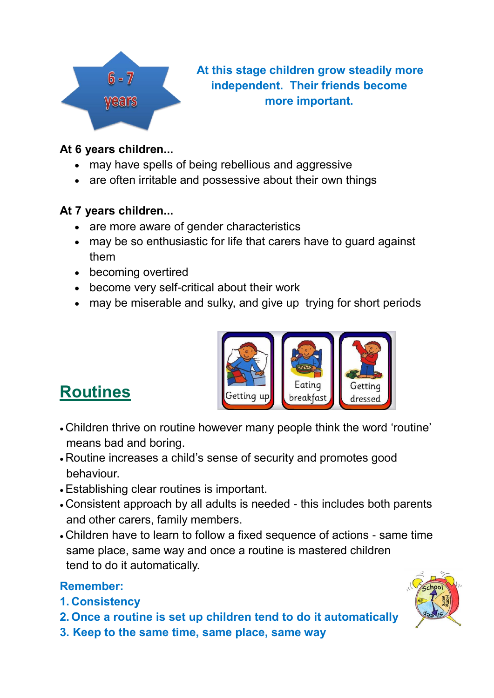

**At this stage children grow steadily more independent. Their friends become more important.**

#### **At 6 years children...**

- may have spells of being rebellious and aggressive
- are often irritable and possessive about their own things

#### **At 7 years children...**

- are more aware of gender characteristics
- may be so enthusiastic for life that carers have to guard against them
- becoming overtired
- become very self-critical about their work
- may be miserable and sulky, and give up trying for short periods



### **Routines**

- Children thrive on routine however many people think the word 'routine' means bad and boring.
- Routine increases a child's sense of security and promotes good behaviour.
- •Establishing clear routines is important.
- Consistent approach by all adults is needed this includes both parents and other carers, family members.
- Children have to learn to follow a fixed sequence of actions same time same place, same way and once a routine is mastered children tend to do it automatically.

#### **Remember:**

#### **1. Consistency**

- **2. Once a routine is set up children tend to do it automatically**
- **3. Keep to the same time, same place, same way**

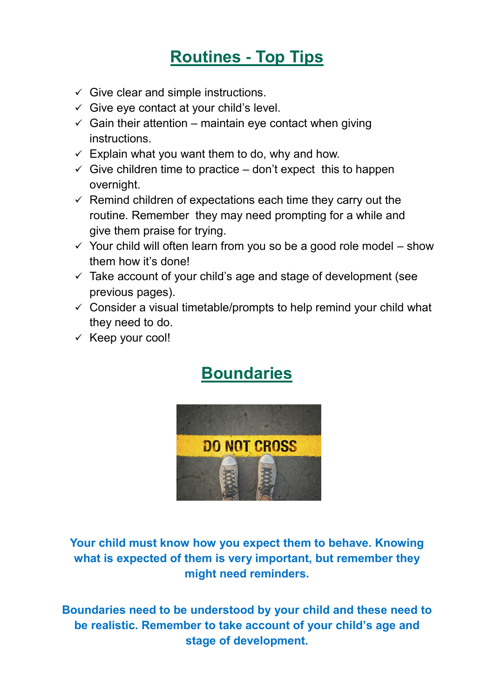## **Routines - Top Tips**

- $\checkmark$  Give clear and simple instructions.
- $\checkmark$  Give eye contact at your child's level.
- $\checkmark$  Gain their attention maintain eve contact when giving instructions.
- $\checkmark$  Explain what you want them to do, why and how.
- $\checkmark$  Give children time to practice don't expect this to happen overnight.
- $\checkmark$  Remind children of expectations each time they carry out the routine. Remember they may need prompting for a while and give them praise for trying.
- $\checkmark$  Your child will often learn from you so be a good role model show them how it's done!
- $\checkmark$  Take account of your child's age and stage of development (see previous pages).
- $\checkmark$  Consider a visual timetable/prompts to help remind your child what they need to do.
- $\times$  Keep your cool!

## **Boundaries**



**Your child must know how you expect them to behave. Knowing what is expected of them is very important, but remember they might need reminders.**

**Boundaries need to be understood by your child and these need to be realistic. Remember to take account of your child's age and stage of development.**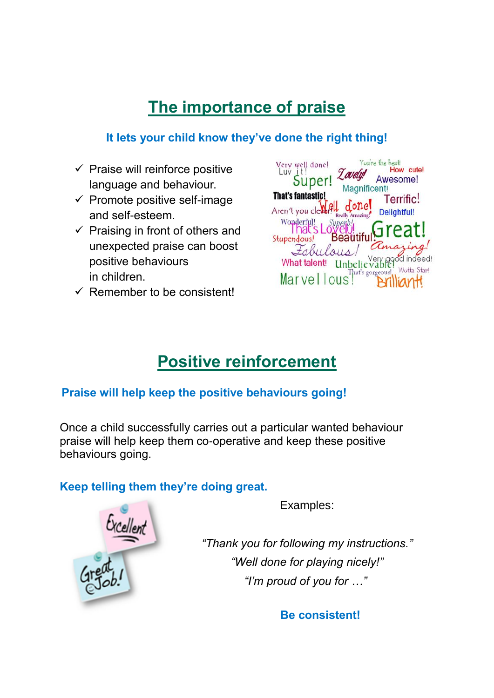# **The importance of praise**

#### **It lets your child know they've done the right thing!**

- $\checkmark$  Praise will reinforce positive language and behaviour.
- $\checkmark$  Promote positive self-image and self-esteem.
- $\checkmark$  Praising in front of others and unexpected praise can boost positive behaviours in children.
- $\checkmark$  Remember to be consistent!

| Very well done!<br>Luv it!<br>Super!<br><b>That's fantastic!</b><br>Aren't you cleverful | Zovely<br>Magnificent!<br>donel<br>Really | You're the best!<br>How cute!<br>Awesome!<br>Terrific!<br>Delightful! |
|------------------------------------------------------------------------------------------|-------------------------------------------|-----------------------------------------------------------------------|
| Wonderful!<br>That's Lo<br>Stupendous!<br>Fabulous<br>What talent!<br>Marvell            | <b>Beatitif</b><br>That's gorgeous!       | Great!<br>indeed!<br>$V$ ery<br>Wotta Star!                           |

# **Positive reinforcement**

#### **Praise will help keep the positive behaviours going!**

Once a child successfully carries out a particular wanted behaviour praise will help keep them co-operative and keep these positive behaviours going.

#### **Keep telling them they're doing great.**



Examples:

*"Thank you for following my instructions." "Well done for playing nicely!" "I'm proud of you for …"*

**Be consistent!**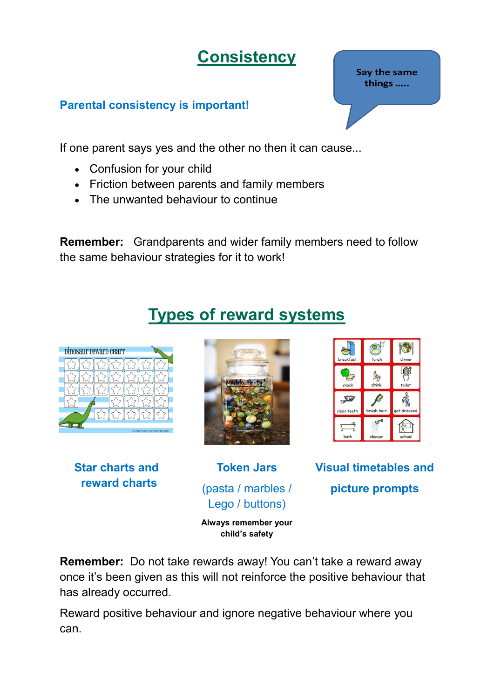**Consistency**

#### **Parental consistency is important!**

If one parent says yes and the other no then it can cause...

- Confusion for your child
- Friction between parents and family members
- The unwanted behaviour to continue

**Remember:** Grandparents and wider family members need to follow the same behaviour strategies for it to work!

# **Types of reward systems**



**Remember:** Do not take rewards away! You can't take a reward away once it's been given as this will not reinforce the positive behaviour that has already occurred.

Reward positive behaviour and ignore negative behaviour where you can.

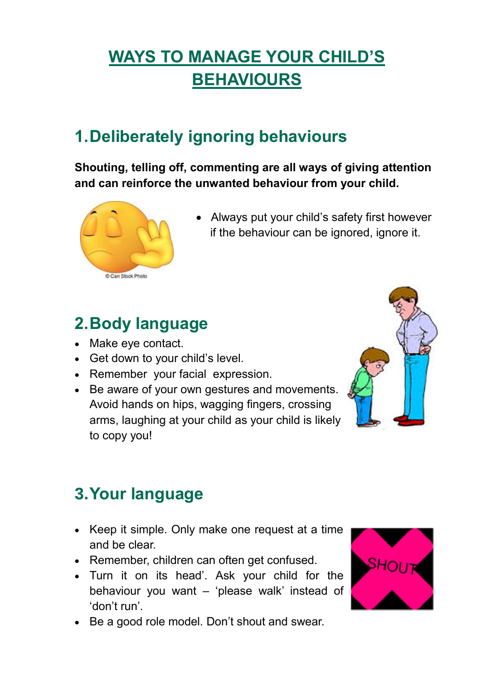# **WAYS TO MANAGE YOUR CHILD'S BEHAVIOURS**

## **1.Deliberately ignoring behaviours**

**Shouting, telling off, commenting are all ways of giving attention and can reinforce the unwanted behaviour from your child.**



• Always put your child's safety first however if the behaviour can be ignored, ignore it.

### **2.Body language**

- Make eye contact.
- Get down to your child's level.
- Remember your facial expression.
- Be aware of your own gestures and movements. Avoid hands on hips, wagging fingers, crossing arms, laughing at your child as your child is likely to copy you!



### **3.Your language**

- Keep it simple. Only make one request at a time and be clear.
- Remember, children can often get confused.
- Turn it on its head'. Ask your child for the behaviour you want – 'please walk' instead of 'don't run'.
- Be a good role model. Don't shout and swear.

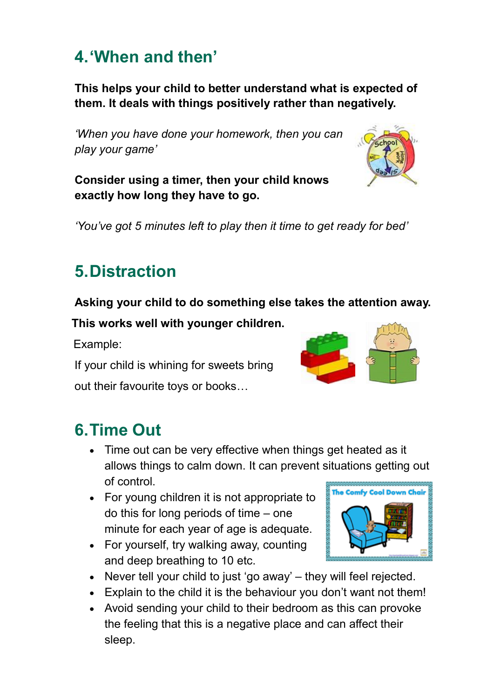### **4.'When and then'**

**This helps your child to better understand what is expected of them. It deals with things positively rather than negatively.**

*'When you have done your homework, then you can play your game'*

**Consider using a timer, then your child knows exactly how long they have to go.**

*'You've got 5 minutes left to play then it time to get ready for bed'*

# **5.Distraction**

#### **Asking your child to do something else takes the attention away.**

 **This works well with younger children.**

Example:

If your child is whining for sweets bring

out their favourite toys or books…

### **6.Time Out**

- Time out can be very effective when things get heated as it allows things to calm down. It can prevent situations getting out of control.
- For young children it is not appropriate to do this for long periods of time – one minute for each year of age is adequate.
- For yourself, try walking away, counting and deep breathing to 10 etc.
- Never tell your child to just 'go away' they will feel rejected.
- Explain to the child it is the behaviour you don't want not them!
- Avoid sending your child to their bedroom as this can provoke the feeling that this is a negative place and can affect their sleep.







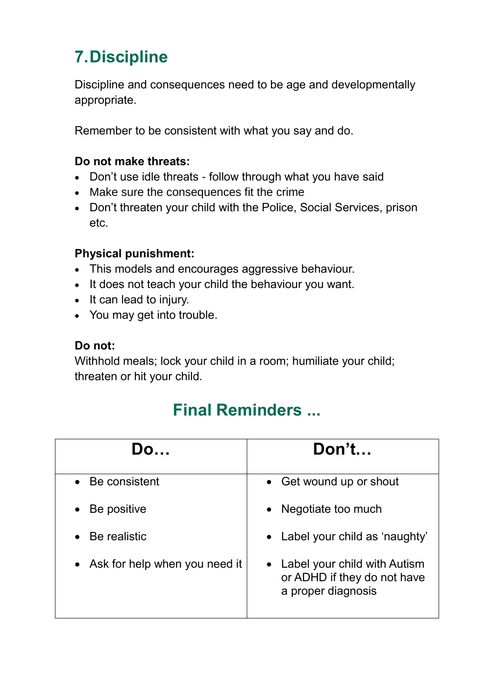# **7.Discipline**

Discipline and consequences need to be age and developmentally appropriate.

Remember to be consistent with what you say and do.

#### **Do not make threats:**

- Don't use idle threats follow through what you have said
- Make sure the consequences fit the crime
- Don't threaten your child with the Police, Social Services, prison etc.

#### **Physical punishment:**

- This models and encourages aggressive behaviour.
- It does not teach your child the behaviour you want.
- It can lead to injury.
- You may get into trouble.

#### **Do not:**

Withhold meals; lock your child in a room; humiliate your child; threaten or hit your child.

### **Final Reminders ...**

| Do                              | Don't                                                                               |
|---------------------------------|-------------------------------------------------------------------------------------|
| • Be consistent                 | • Get wound up or shout                                                             |
| Be positive<br>$\bullet$        | Negotiate too much                                                                  |
| Be realistic                    | • Label your child as 'naughty'                                                     |
| • Ask for help when you need it | • Label your child with Autism<br>or ADHD if they do not have<br>a proper diagnosis |